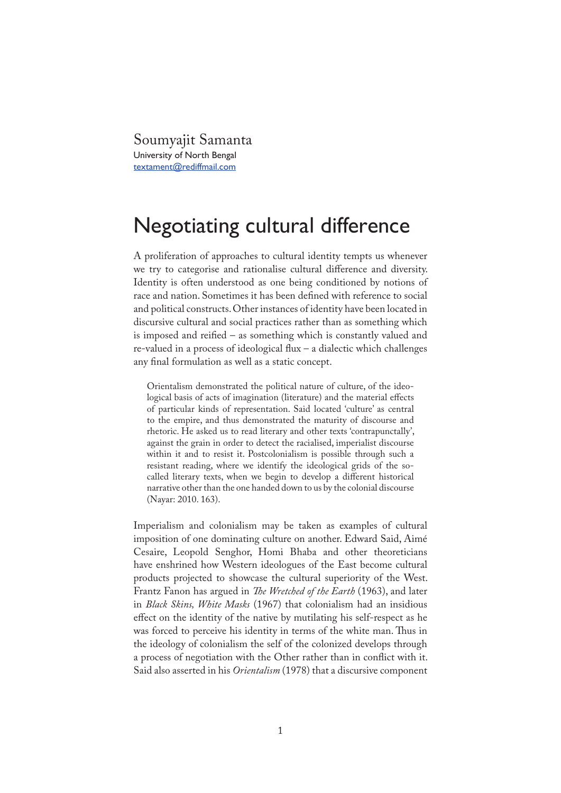Soumyajit Samanta University of North Bengal textament@rediffmail.com

## Negotiating cultural difference

A proliferation of approaches to cultural identity tempts us whenever we try to categorise and rationalise cultural difference and diversity. Identity is often understood as one being conditioned by notions of race and nation. Sometimes it has been defined with reference to social and political constructs. Other instances of identity have been located in discursive cultural and social practices rather than as something which is imposed and reified – as something which is constantly valued and  $re$ -valued in a process of ideological flux – a dialectic which challenges any final formulation as well as a static concept.

Orientalism demonstrated the political nature of culture, of the ideological basis of acts of imagination (literature) and the material effects of particular kinds of representation. Said located 'culture' as central to the empire, and thus demonstrated the maturity of discourse and rhetoric. He asked us to read literary and other texts 'contrapunctally', against the grain in order to detect the racialised, imperialist discourse within it and to resist it. Postcolonialism is possible through such a resistant reading, where we identify the ideological grids of the socalled literary texts, when we begin to develop a different historical narrative other than the one handed down to us by the colonial discourse (Nayar: 2010. 163).

Imperialism and colonialism may be taken as examples of cultural imposition of one dominating culture on another. Edward Said, Aimé Cesaire, Leopold Senghor, Homi Bhaba and other theoreticians have enshrined how Western ideologues of the East become cultural products projected to showcase the cultural superiority of the West. Frantz Fanon has argued in *�e Wretched of the Earth* (1963), and later in *Black Skins, White Masks* (1967) that colonialism had an insidious effect on the identity of the native by mutilating his self-respect as he was forced to perceive his identity in terms of the white man. Thus in the ideology of colonialism the self of the colonized develops through a process of negotiation with the Other rather than in con�ict with it. Said also asserted in his *Orientalism* (1978) that a discursive component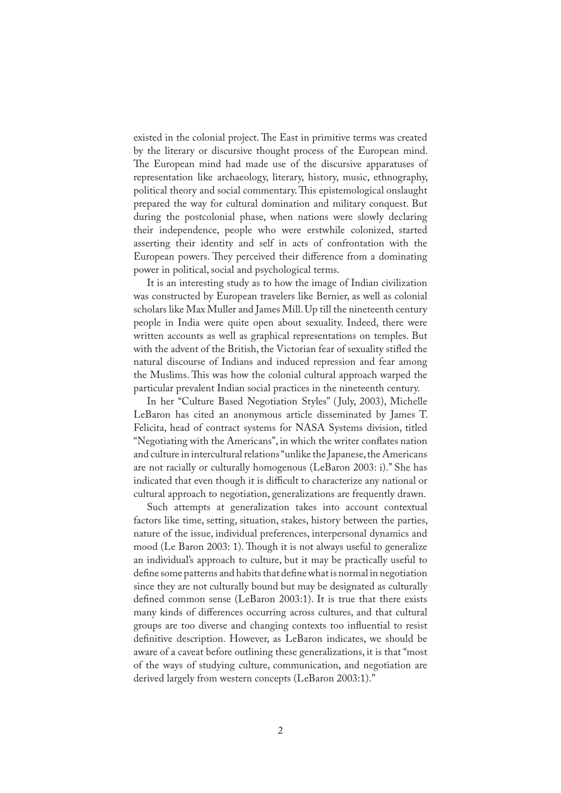existed in the colonial project. The East in primitive terms was created by the literary or discursive thought process of the European mind. The European mind had made use of the discursive apparatuses of representation like archaeology, literary, history, music, ethnography, political theory and social commentary. This epistemological onslaught prepared the way for cultural domination and military conquest. But during the postcolonial phase, when nations were slowly declaring their independence, people who were erstwhile colonized, started asserting their identity and self in acts of confrontation with the European powers. They perceived their difference from a dominating power in political, social and psychological terms.

It is an interesting study as to how the image of Indian civilization was constructed by European travelers like Bernier, as well as colonial scholars like Max Muller and James Mill. Up till the nineteenth century people in India were quite open about sexuality. Indeed, there were written accounts as well as graphical representations on temples. But with the advent of the British, the Victorian fear of sexuality stifled the natural discourse of Indians and induced repression and fear among the Muslims. This was how the colonial cultural approach warped the particular prevalent Indian social practices in the nineteenth century.

In her "Culture Based Negotiation Styles" ( July, 2003), Michelle LeBaron has cited an anonymous article disseminated by James T. Felicita, head of contract systems for NASA Systems division, titled "Negotiating with the Americans", in which the writer con�ates nation and culture in intercultural relations "unlike the Japanese, the Americans are not racially or culturally homogenous (LeBaron 2003: i)." She has indicated that even though it is difficult to characterize any national or cultural approach to negotiation, generalizations are frequently drawn.

Such attempts at generalization takes into account contextual factors like time, setting, situation, stakes, history between the parties, nature of the issue, individual preferences, interpersonal dynamics and mood (Le Baron 2003: 1). Though it is not always useful to generalize an individual's approach to culture, but it may be practically useful to define some patterns and habits that define what is normal in negotiation since they are not culturally bound but may be designated as culturally defined common sense (LeBaron 2003:1). It is true that there exists many kinds of differences occurring across cultures, and that cultural groups are too diverse and changing contexts too in�uential to resist definitive description. However, as LeBaron indicates, we should be aware of a caveat before outlining these generalizations, it is that "most of the ways of studying culture, communication, and negotiation are derived largely from western concepts (LeBaron 2003:1)."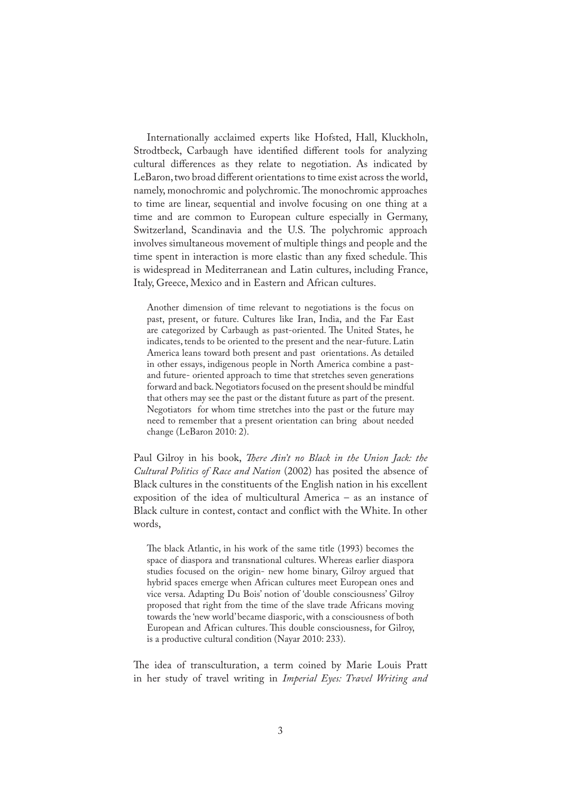Internationally acclaimed experts like Hofsted, Hall, Kluckholn, Strodtbeck, Carbaugh have identified different tools for analyzing cultural differences as they relate to negotiation. As indicated by LeBaron, two broad different orientations to time exist across the world, namely, monochromic and polychromic. The monochromic approaches to time are linear, sequential and involve focusing on one thing at a time and are common to European culture especially in Germany, Switzerland, Scandinavia and the U.S. The polychromic approach involves simultaneous movement of multiple things and people and the time spent in interaction is more elastic than any fixed schedule. This is widespread in Mediterranean and Latin cultures, including France, Italy, Greece, Mexico and in Eastern and African cultures.

Another dimension of time relevant to negotiations is the focus on past, present, or future. Cultures like Iran, India, and the Far East are categorized by Carbaugh as past-oriented. The United States, he indicates, tends to be oriented to the present and the near-future. Latin America leans toward both present and past orientations. As detailed in other essays, indigenous people in North America combine a pastand future- oriented approach to time that stretches seven generations forward and back. Negotiators focused on the present should be mindful that others may see the past or the distant future as part of the present. Negotiators for whom time stretches into the past or the future may need to remember that a present orientation can bring about needed change (LeBaron 2010: 2).

Paul Gilroy in his book, *There Ain't no Black in the Union Jack: the Cultural Politics of Race and Nation* (2002) has posited the absence of Black cultures in the constituents of the English nation in his excellent exposition of the idea of multicultural America – as an instance of Black culture in contest, contact and con�ict with the White. In other words,

�e black Atlantic, in his work of the same title (1993) becomes the space of diaspora and transnational cultures. Whereas earlier diaspora studies focused on the origin- new home binary, Gilroy argued that hybrid spaces emerge when African cultures meet European ones and vice versa. Adapting Du Bois' notion of 'double consciousness' Gilroy proposed that right from the time of the slave trade Africans moving towards the 'new world' became diasporic, with a consciousness of both European and African cultures. This double consciousness, for Gilroy, is a productive cultural condition (Nayar 2010: 233).

�e idea of transculturation, a term coined by Marie Louis Pratt in her study of travel writing in *Imperial Eyes: Travel Writing and*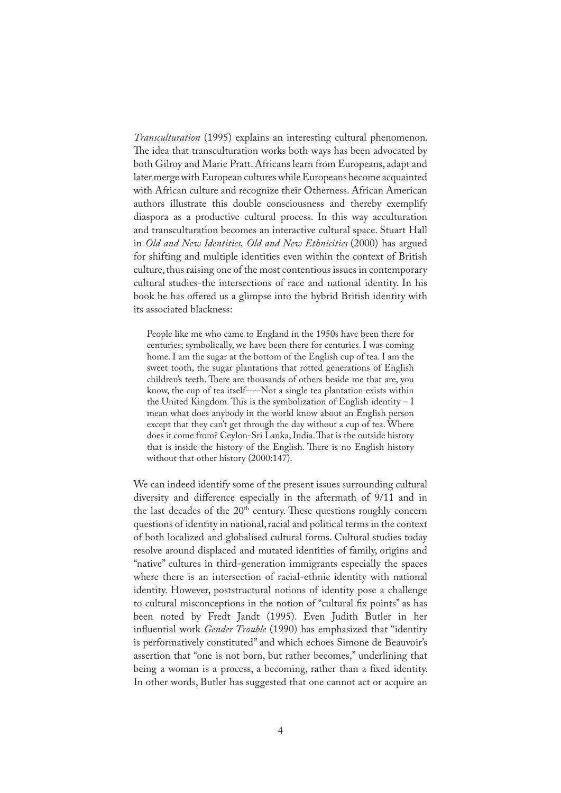*Transculturation* (1995) explains an interesting cultural phenomenon. The idea that transculturation works both ways has been advocated by both Gilroy and Marie Pratt. Africans learn from Europeans, adapt and later merge with European cultures while Europeans become acquainted with African culture and recognize their Otherness. African American authors illustrate this double consciousness and thereby exemplify diaspora as a productive cultural process. In this way acculturation and transculturation becomes an interactive cultural space. Stuart Hall in *Old and New Identities, Old and New Ethnicities* (2000) has argued for shifting and multiple identities even within the context of British culture, thus raising one of the most contentious issues in contemporary cultural studies-the intersections of race and national identity. In his book he has offered us a glimpse into the hybrid British identity with its associated blackness:

People like me who came to England in the 1950s have been there for centuries; symbolically, we have been there for centuries. I was coming home. I am the sugar at the bottom of the English cup of tea. I am the sweet tooth, the sugar plantations that rotted generations of English children's teeth. There are thousands of others beside me that are, you know, the cup of tea itself----Not a single tea plantation exists within the United Kingdom. This is the symbolization of English identity  $-1$ mean what does anybody in the world know about an English person except that they can't get through the day without a cup of tea. Where does it come from? Ceylon-Sri Lanka, India. That is the outside history that is inside the history of the English. There is no English history without that other history (2000:147).

We can indeed identify some of the present issues surrounding cultural diversity and difference especially in the aftermath of 9/11 and in the last decades of the 20<sup>th</sup> century. These questions roughly concern questions of identity in national, racial and political terms in the context of both localized and globalised cultural forms. Cultural studies today resolve around displaced and mutated identities of family, origins and "native" cultures in third-generation immigrants especially the spaces where there is an intersection of racial-ethnic identity with national identity. However, poststructural notions of identity pose a challenge to cultural misconceptions in the notion of "cultural �x points" as has been noted by Fredt Jandt (1995). Even Judith Butler in her influential work *Gender Trouble* (1990) has emphasized that "identity is performatively constituted" and which echoes Simone de Beauvoir's assertion that "one is not born, but rather becomes," underlining that being a woman is a process, a becoming, rather than a fixed identity. In other words, Butler has suggested that one cannot act or acquire an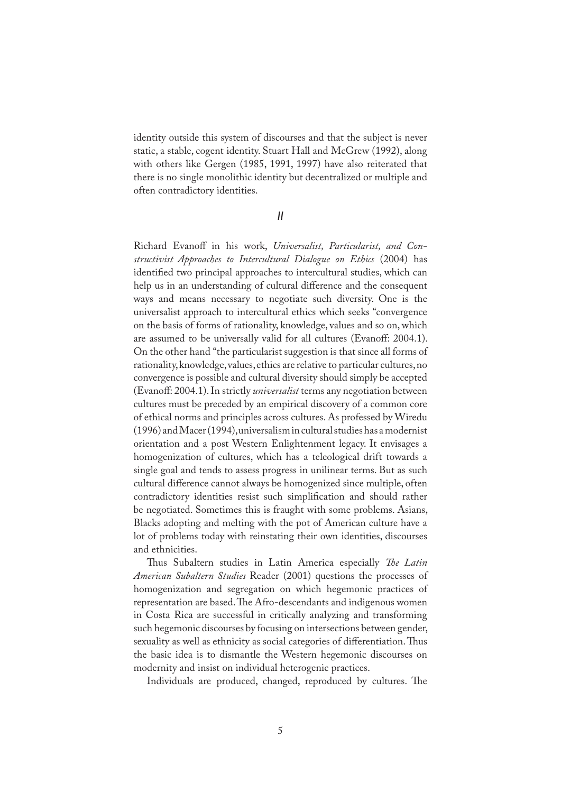identity outside this system of discourses and that the subject is never static, a stable, cogent identity. Stuart Hall and McGrew (1992), along with others like Gergen (1985, 1991, 1997) have also reiterated that there is no single monolithic identity but decentralized or multiple and often contradictory identities.

*II*

Richard Evanoff in his work, *Universalist, Particularist, and Constructivist Approaches to Intercultural Dialogue on Ethics* (2004) has identified two principal approaches to intercultural studies, which can help us in an understanding of cultural difference and the consequent ways and means necessary to negotiate such diversity. One is the universalist approach to intercultural ethics which seeks "convergence on the basis of forms of rationality, knowledge, values and so on, which are assumed to be universally valid for all cultures (Evanoff: 2004.1). On the other hand "the particularist suggestion is that since all forms of rationality, knowledge, values, ethics are relative to particular cultures, no convergence is possible and cultural diversity should simply be accepted (Evanoff: 2004.1). In strictly *universalist* terms any negotiation between cultures must be preceded by an empirical discovery of a common core of ethical norms and principles across cultures. As professed by Wiredu (1996) and Macer (1994), universalism in cultural studies has a modernist orientation and a post Western Enlightenment legacy. It envisages a homogenization of cultures, which has a teleological drift towards a single goal and tends to assess progress in unilinear terms. But as such cultural difference cannot always be homogenized since multiple, often contradictory identities resist such simplification and should rather be negotiated. Sometimes this is fraught with some problems. Asians, Blacks adopting and melting with the pot of American culture have a lot of problems today with reinstating their own identities, discourses and ethnicities.

Thus Subaltern studies in Latin America especially *The Latin American Subaltern Studies* Reader (2001) questions the processes of homogenization and segregation on which hegemonic practices of representation are based. The Afro-descendants and indigenous women in Costa Rica are successful in critically analyzing and transforming such hegemonic discourses by focusing on intersections between gender, sexuality as well as ethnicity as social categories of differentiation. Thus the basic idea is to dismantle the Western hegemonic discourses on modernity and insist on individual heterogenic practices.

Individuals are produced, changed, reproduced by cultures. The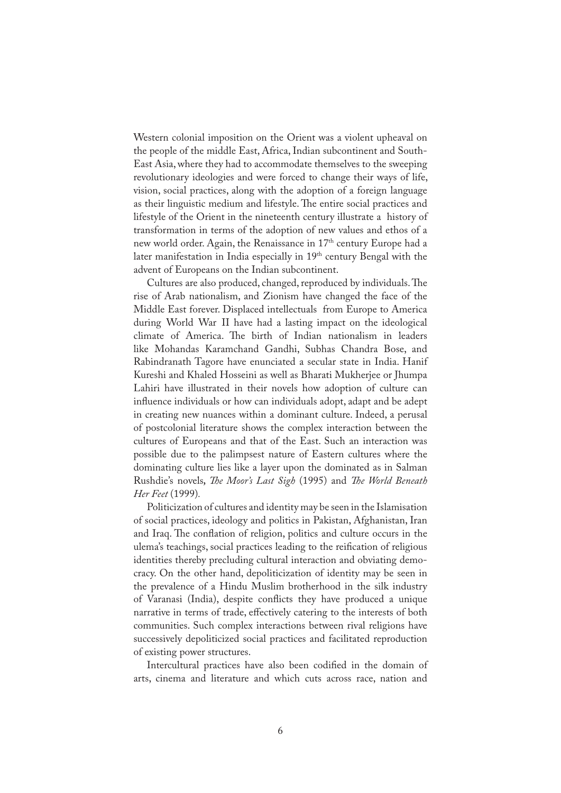Western colonial imposition on the Orient was a violent upheaval on the people of the middle East, Africa, Indian subcontinent and South-East Asia, where they had to accommodate themselves to the sweeping revolutionary ideologies and were forced to change their ways of life, vision, social practices, along with the adoption of a foreign language as their linguistic medium and lifestyle. The entire social practices and lifestyle of the Orient in the nineteenth century illustrate a history of transformation in terms of the adoption of new values and ethos of a new world order. Again, the Renaissance in 17<sup>th</sup> century Europe had a later manifestation in India especially in 19th century Bengal with the advent of Europeans on the Indian subcontinent.

Cultures are also produced, changed, reproduced by individuals. The rise of Arab nationalism, and Zionism have changed the face of the Middle East forever. Displaced intellectuals from Europe to America during World War II have had a lasting impact on the ideological climate of America. The birth of Indian nationalism in leaders like Mohandas Karamchand Gandhi, Subhas Chandra Bose, and Rabindranath Tagore have enunciated a secular state in India. Hanif Kureshi and Khaled Hosseini as well as Bharati Mukherjee or Jhumpa Lahiri have illustrated in their novels how adoption of culture can influence individuals or how can individuals adopt, adapt and be adept in creating new nuances within a dominant culture. Indeed, a perusal of postcolonial literature shows the complex interaction between the cultures of Europeans and that of the East. Such an interaction was possible due to the palimpsest nature of Eastern cultures where the dominating culture lies like a layer upon the dominated as in Salman Rushdie's novels*, �e Moor's Last Sigh* (1995) and *�e World Beneath Her Feet* (1999)*.*

Politicization of cultures and identity may be seen in the Islamisation of social practices, ideology and politics in Pakistan, Afghanistan, Iran and Iraq. The conflation of religion, politics and culture occurs in the ulema's teachings, social practices leading to the reification of religious identities thereby precluding cultural interaction and obviating democracy. On the other hand, depoliticization of identity may be seen in the prevalence of a Hindu Muslim brotherhood in the silk industry of Varanasi (India), despite con�icts they have produced a unique narrative in terms of trade, effectively catering to the interests of both communities. Such complex interactions between rival religions have successively depoliticized social practices and facilitated reproduction of existing power structures.

Intercultural practices have also been codified in the domain of arts, cinema and literature and which cuts across race, nation and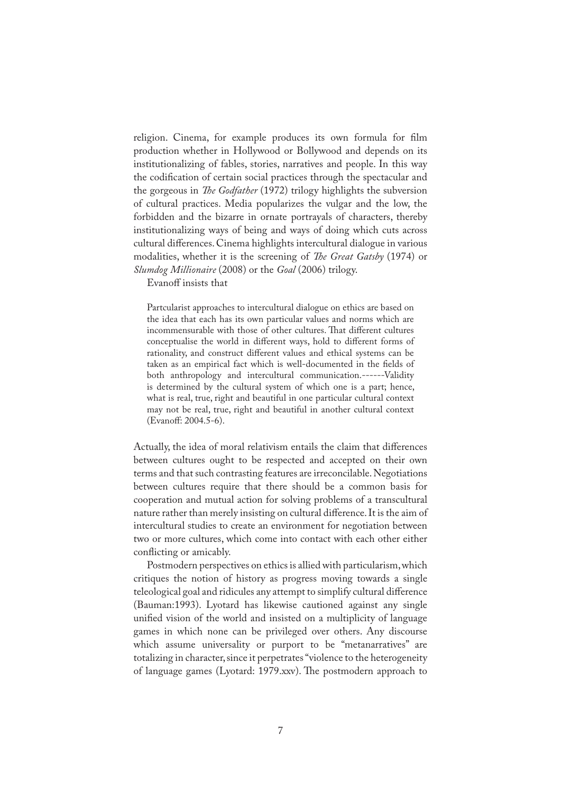religion. Cinema, for example produces its own formula for film production whether in Hollywood or Bollywood and depends on its institutionalizing of fables, stories, narratives and people. In this way the codification of certain social practices through the spectacular and the gorgeous in *�e Godfather* (1972) trilogy highlights the subversion of cultural practices. Media popularizes the vulgar and the low, the forbidden and the bizarre in ornate portrayals of characters, thereby institutionalizing ways of being and ways of doing which cuts across cultural differences. Cinema highlights intercultural dialogue in various modalities, whether it is the screening of *�e Great Gatsby* (1974) or *Slumdog Millionaire* (2008) or the *Goal* (2006) trilogy.

Evanoff insists that

Partcularist approaches to intercultural dialogue on ethics are based on the idea that each has its own particular values and norms which are incommensurable with those of other cultures. That different cultures conceptualise the world in different ways, hold to different forms of rationality, and construct different values and ethical systems can be taken as an empirical fact which is well-documented in the fields of both anthropology and intercultural communication.------Validity is determined by the cultural system of which one is a part; hence, what is real, true, right and beautiful in one particular cultural context may not be real, true, right and beautiful in another cultural context (Evanoff: 2004.5-6).

Actually, the idea of moral relativism entails the claim that differences between cultures ought to be respected and accepted on their own terms and that such contrasting features are irreconcilable. Negotiations between cultures require that there should be a common basis for cooperation and mutual action for solving problems of a transcultural nature rather than merely insisting on cultural difference. It is the aim of intercultural studies to create an environment for negotiation between two or more cultures, which come into contact with each other either conflicting or amicably.

Postmodern perspectives on ethics is allied with particularism, which critiques the notion of history as progress moving towards a single teleological goal and ridicules any attempt to simplify cultural difference (Bauman:1993). Lyotard has likewise cautioned against any single unified vision of the world and insisted on a multiplicity of language games in which none can be privileged over others. Any discourse which assume universality or purport to be "metanarratives" are totalizing in character, since it perpetrates "violence to the heterogeneity of language games (Lyotard: 1979.xxv). The postmodern approach to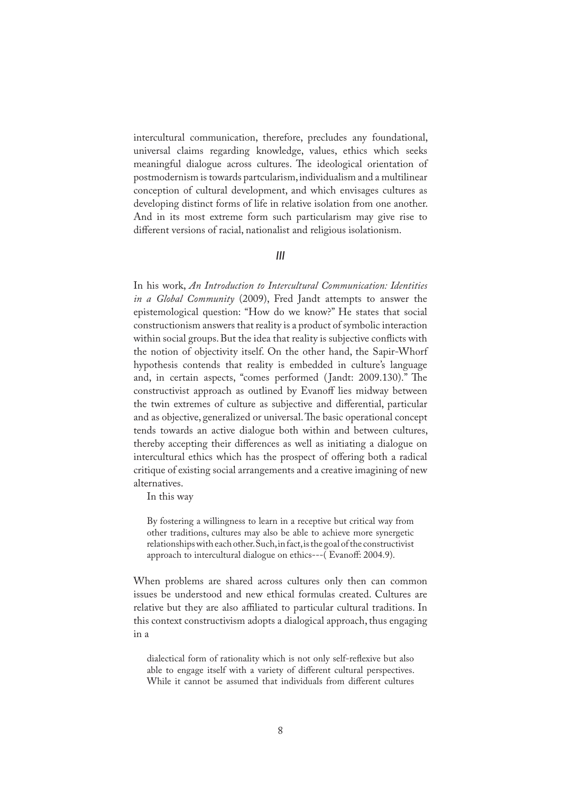intercultural communication, therefore, precludes any foundational, universal claims regarding knowledge, values, ethics which seeks meaningful dialogue across cultures. The ideological orientation of postmodernism is towards partcularism, individualism and a multilinear conception of cultural development, and which envisages cultures as developing distinct forms of life in relative isolation from one another. And in its most extreme form such particularism may give rise to different versions of racial, nationalist and religious isolationism.

## *III*

In his work, *An Introduction to Intercultural Communication: Identities in a Global Community* (2009), Fred Jandt attempts to answer the epistemological question: "How do we know?" He states that social constructionism answers that reality is a product of symbolic interaction within social groups. But the idea that reality is subjective conflicts with the notion of objectivity itself. On the other hand, the Sapir-Whorf hypothesis contends that reality is embedded in culture's language and, in certain aspects, "comes performed (Jandt: 2009.130)." The constructivist approach as outlined by Evanoff lies midway between the twin extremes of culture as subjective and differential, particular and as objective, generalized or universal. The basic operational concept tends towards an active dialogue both within and between cultures, thereby accepting their differences as well as initiating a dialogue on intercultural ethics which has the prospect of offering both a radical critique of existing social arrangements and a creative imagining of new alternatives.

In this way

By fostering a willingness to learn in a receptive but critical way from other traditions, cultures may also be able to achieve more synergetic relationships with each other. Such, in fact, is the goal of the constructivist approach to intercultural dialogue on ethics---( Evanoff: 2004.9).

When problems are shared across cultures only then can common issues be understood and new ethical formulas created. Cultures are relative but they are also affiliated to particular cultural traditions. In this context constructivism adopts a dialogical approach, thus engaging in a

dialectical form of rationality which is not only self-reflexive but also able to engage itself with a variety of different cultural perspectives. While it cannot be assumed that individuals from different cultures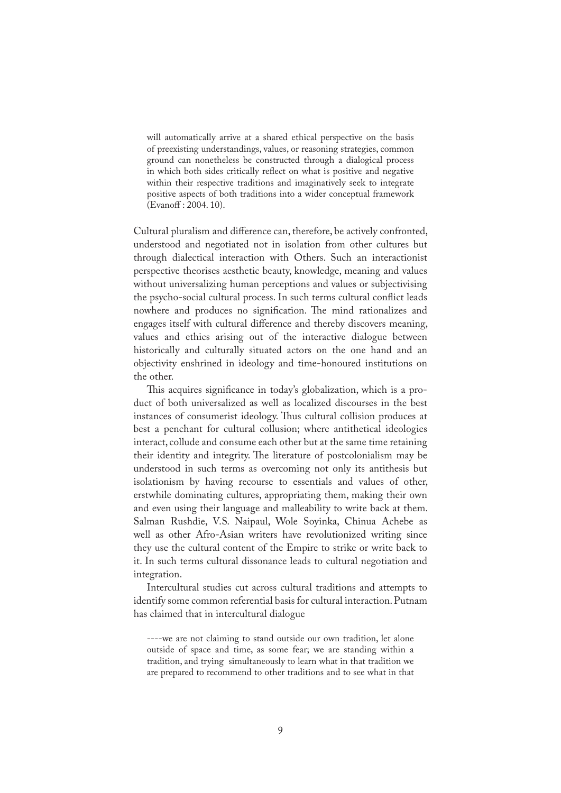will automatically arrive at a shared ethical perspective on the basis of preexisting understandings, values, or reasoning strategies, common ground can nonetheless be constructed through a dialogical process in which both sides critically reflect on what is positive and negative within their respective traditions and imaginatively seek to integrate positive aspects of both traditions into a wider conceptual framework (Evanoff : 2004. 10).

Cultural pluralism and difference can, therefore, be actively confronted, understood and negotiated not in isolation from other cultures but through dialectical interaction with Others. Such an interactionist perspective theorises aesthetic beauty, knowledge, meaning and values without universalizing human perceptions and values or subjectivising the psycho-social cultural process. In such terms cultural con�ict leads nowhere and produces no signification. The mind rationalizes and engages itself with cultural difference and thereby discovers meaning, values and ethics arising out of the interactive dialogue between historically and culturally situated actors on the one hand and an objectivity enshrined in ideology and time-honoured institutions on the other.

This acquires significance in today's globalization, which is a product of both universalized as well as localized discourses in the best instances of consumerist ideology. Thus cultural collision produces at best a penchant for cultural collusion; where antithetical ideologies interact, collude and consume each other but at the same time retaining their identity and integrity. The literature of postcolonialism may be understood in such terms as overcoming not only its antithesis but isolationism by having recourse to essentials and values of other, erstwhile dominating cultures, appropriating them, making their own and even using their language and malleability to write back at them. Salman Rushdie, V.S. Naipaul, Wole Soyinka, Chinua Achebe as well as other Afro-Asian writers have revolutionized writing since they use the cultural content of the Empire to strike or write back to it. In such terms cultural dissonance leads to cultural negotiation and integration.

Intercultural studies cut across cultural traditions and attempts to identify some common referential basis for cultural interaction. Putnam has claimed that in intercultural dialogue

----we are not claiming to stand outside our own tradition, let alone outside of space and time, as some fear; we are standing within a tradition, and trying simultaneously to learn what in that tradition we are prepared to recommend to other traditions and to see what in that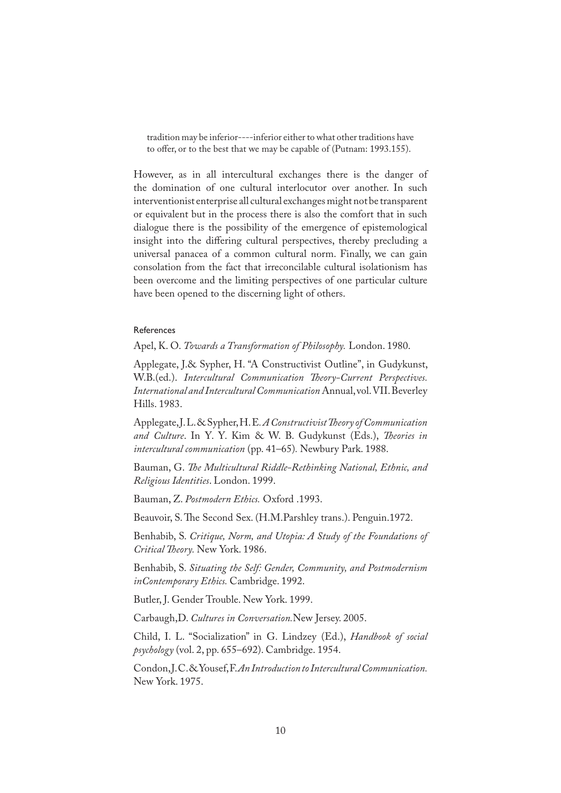tradition may be inferior----inferior either to what other traditions have to offer, or to the best that we may be capable of (Putnam: 1993.155).

However, as in all intercultural exchanges there is the danger of the domination of one cultural interlocutor over another. In such interventionist enterprise all cultural exchanges might not be transparent or equivalent but in the process there is also the comfort that in such dialogue there is the possibility of the emergence of epistemological insight into the differing cultural perspectives, thereby precluding a universal panacea of a common cultural norm. Finally, we can gain consolation from the fact that irreconcilable cultural isolationism has been overcome and the limiting perspectives of one particular culture have been opened to the discerning light of others.

## References

Apel, K. O. *Towards a Transformation of Philosophy.* London. 1980.

Applegate, J.& Sypher, H. "A Constructivist Outline", in Gudykunst, W.B.(ed.). *Intercultural Communication Theory-Current Perspectives. International and Intercultural Communication* Annual, vol. VII. Beverley Hills. 1983.

Applegate, J. L. & Sypher, H. E*. A Constructivist �eory of Communication and Culture*. In Y. Y. Kim & W. B. Gudykunst (Eds.), *�eories in intercultural communication* (pp. 41–65)*.* Newbury Park. 1988.

Bauman, G. *�e Multicultural Riddle-Rethinking National, Ethnic, and Religious Identities*. London. 1999.

Bauman, Z. *Postmodern Ethics.* Oxford .1993.

Beauvoir, S. The Second Sex. (H.M.Parshley trans.). Penguin.1972.

Benhabib, S. *Critique, Norm, and Utopia: A Study of the Foundations of Critical �eory.* New York. 1986.

Benhabib, S. *Situating the Self: Gender, Community, and Postmodernism inContemporary Ethics.* Cambridge. 1992.

Butler, J. Gender Trouble. New York. 1999.

Carbaugh,D. *Cultures in Conversation.*New Jersey. 2005.

Child, I. L. "Socialization" in G. Lindzey (Ed.), *Handbook of social psychology* (vol. 2, pp. 655–692). Cambridge. 1954.

Condon, J. C. & Yousef, F. *An Introduction to Intercultural Communication.*  New York. 1975.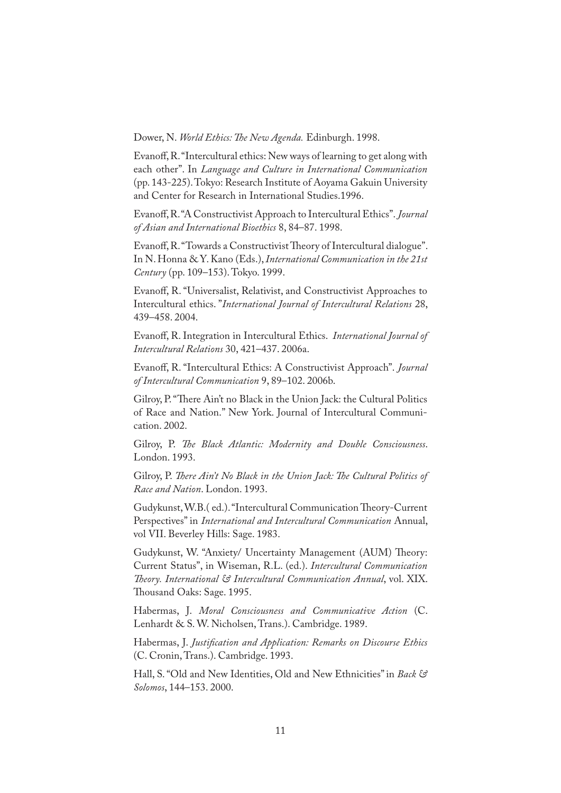Dower, N. *World Ethics: �e New Agenda.* Edinburgh. 1998.

Evanoff, R. "Intercultural ethics: New ways of learning to get along with each other". In *Language and Culture in International Communication* (pp. 143-225). Tokyo: Research Institute of Aoyama Gakuin University and Center for Research in International Studies.1996.

Evanoff, R. "A Constructivist Approach to Intercultural Ethics". *Journal of Asian and International Bioethics* 8, 84–87. 1998.

Evanoff, R. "Towards a Constructivist Theory of Intercultural dialogue". In N. Honna & Y. Kano (Eds.), *International Communication in the 21st Century* (pp. 109–153). Tokyo. 1999.

Evanoff, R. "Universalist, Relativist, and Constructivist Approaches to Intercultural ethics. "*International Journal of Intercultural Relations* 28, 439–458. 2004.

Evanoff, R. Integration in Intercultural Ethics. *International Journal of Intercultural Relations* 30, 421–437. 2006a.

Evanoff, R. "Intercultural Ethics: A Constructivist Approach". *Journal of Intercultural Communication* 9, 89–102. 2006b.

Gilroy, P. "There Ain't no Black in the Union Jack: the Cultural Politics of Race and Nation." New York. Journal of Intercultural Communication. 2002.

Gilroy, P. *�e Black Atlantic: Modernity and Double Consciousness*. London. 1993.

Gilroy, P. *There Ain't No Black in the Union Jack: The Cultural Politics of Race and Nation*. London. 1993.

Gudykunst, W.B. (ed.). "Intercultural Communication Theory-Current Perspectives" in *International and Intercultural Communication* Annual, vol VII. Beverley Hills: Sage. 1983.

Gudykunst, W. "Anxiety/ Uncertainty Management (AUM) Theory: Current Status", in Wiseman, R.L. (ed.). *Intercultural Communication �eory. International & Intercultural Communication Annual*, vol. XIX. Thousand Oaks: Sage. 1995.

Habermas, J. *Moral Consciousness and Communicative Action* (C. Lenhardt & S. W. Nicholsen, Trans.). Cambridge. 1989.

Habermas, J. *Justification and Application: Remarks on Discourse Ethics* (C. Cronin, Trans.). Cambridge. 1993.

Hall, S. "Old and New Identities, Old and New Ethnicities" in *Back & Solomos*, 144–153. 2000.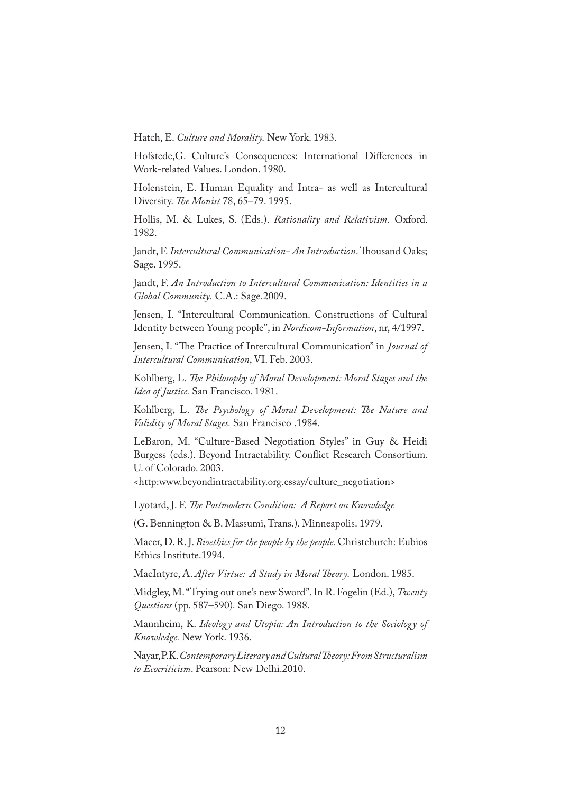Hatch, E. *Culture and Morality.* New York. 1983.

Hofstede,G. Culture's Consequences: International Differences in Work-related Values. London. 1980.

Holenstein, E. Human Equality and Intra- as well as Intercultural Diversity. *�e Monist* 78, 65–79. 1995.

Hollis, M. & Lukes, S. (Eds.). *Rationality and Relativism.* Oxford. 1982.

Jandt, F. Intercultural Communication- An Introduction. Thousand Oaks; Sage. 1995.

Jandt, F. *An Introduction to Intercultural Communication: Identities in a Global Community.* C.A.: Sage.2009.

Jensen, I. "Intercultural Communication. Constructions of Cultural Identity between Young people", in *Nordicom-Information*, nr, 4/1997.

Jensen, I. "The Practice of Intercultural Communication" in *Journal of Intercultural Communication*, VI. Feb. 2003.

Kohlberg, L. *�e Philosophy of Moral Development: Moral Stages and the Idea of Justice.* San Francisco. 1981.

Kohlberg, L. *�e Psychology of Moral Development: �e Nature and Validity of Moral Stages.* San Francisco .1984.

LeBaron, M. "Culture-Based Negotiation Styles" in Guy & Heidi Burgess (eds.). Beyond Intractability. Con�ict Research Consortium. U. of Colorado. 2003.

<http:www.beyondintractability.org.essay/culture\_negotiation>

Lyotard, J. F. *�e Postmodern Condition: A Report on Knowledge*

(G. Bennington & B. Massumi, Trans.). Minneapolis. 1979.

Macer, D. R. J. *Bioethics for the people by the people.* Christchurch: Eubios Ethics Institute.1994.

MacIntyre, A. After Virtue: A Study in Moral Theory. London. 1985.

Midgley, M. "Trying out one's new Sword". In R. Fogelin (Ed.), *Twenty Questions* (pp. 587–590)*.* San Diego. 1988.

Mannheim, K. *Ideology and Utopia: An Introduction to the Sociology of Knowledge.* New York. 1936.

Nayar, P.K. *Contemporary Literary and Cultural �eory: From Structuralism to Ecocriticism*. Pearson: New Delhi.2010.